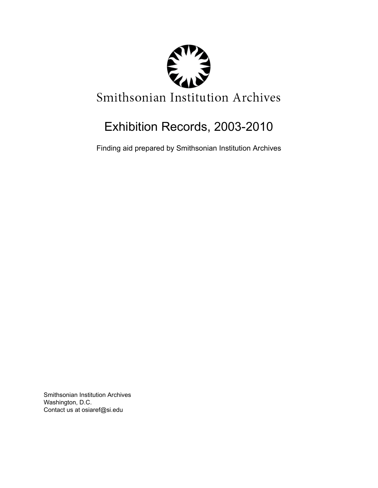

# Exhibition Records, 2003-2010

Finding aid prepared by Smithsonian Institution Archives

Smithsonian Institution Archives Washington, D.C. Contact us at osiaref@si.edu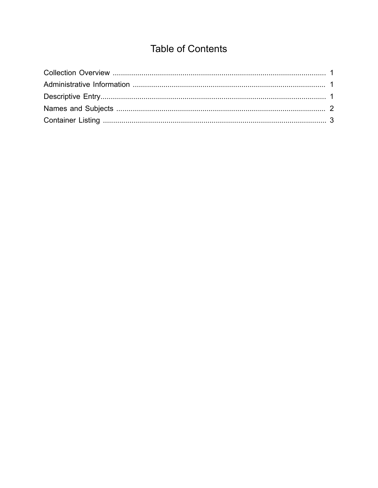## **Table of Contents**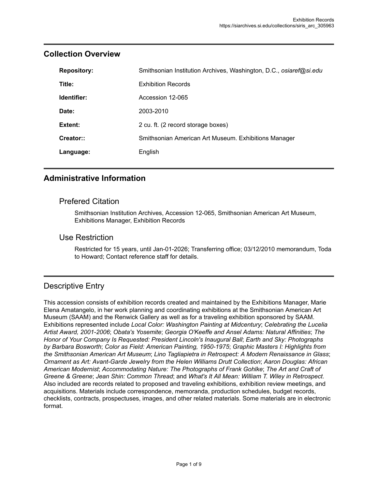| <b>Repository:</b> | Smithsonian Institution Archives, Washington, D.C., osiaref@si.edu |
|--------------------|--------------------------------------------------------------------|
| Title:             | <b>Exhibition Records</b>                                          |
| Identifier:        | Accession 12-065                                                   |
| Date:              | 2003-2010                                                          |
| Extent:            | 2 cu. ft. (2 record storage boxes)                                 |
| Creator::          | Smithsonian American Art Museum. Exhibitions Manager               |
| Language:          | English                                                            |

### <span id="page-2-0"></span>**Collection Overview**

### <span id="page-2-1"></span>**Administrative Information**

#### Prefered Citation

Smithsonian Institution Archives, Accession 12-065, Smithsonian American Art Museum, Exhibitions Manager, Exhibition Records

#### Use Restriction

Restricted for 15 years, until Jan-01-2026; Transferring office; 03/12/2010 memorandum, Toda to Howard; Contact reference staff for details.

## <span id="page-2-2"></span>Descriptive Entry

This accession consists of exhibition records created and maintained by the Exhibitions Manager, Marie Elena Amatangelo, in her work planning and coordinating exhibitions at the Smithsonian American Art Museum (SAAM) and the Renwick Gallery as well as for a traveling exhibition sponsored by SAAM. Exhibitions represented include *Local Color: Washington Painting at Midcentury*; *Celebrating the Lucelia Artist Award, 2001-2006*; *Obata's Yosemite*; *Georgia O'Keeffe and Ansel Adams: Natural Affinities*; *The Honor of Your Company Is Requested: President Lincoln's Inaugural Ball*; *Earth and Sky: Photographs by Barbara Bosworth*; *Color as Field: American Painting, 1950-1975*; *Graphic Masters I: Highlights from the Smithsonian American Art Museum*; *Lino Tagliapietra in Retrospect: A Modern Renaissance in Glass*; *Ornament as Art: Avant-Garde Jewelry from the Helen Williams Drutt Collection*; *Aaron Douglas: African American Modernist*; *Accommodating Nature: The Photographs of Frank Gohlke*; *The Art and Craft of Greene & Greene*; *Jean Shin: Common Thread*; and *What's It All Mean: William T. Wiley in Retrospect*. Also included are records related to proposed and traveling exhibitions, exhibition review meetings, and acquisitions. Materials include correspondence, memoranda, production schedules, budget records, checklists, contracts, prospectuses, images, and other related materials. Some materials are in electronic format.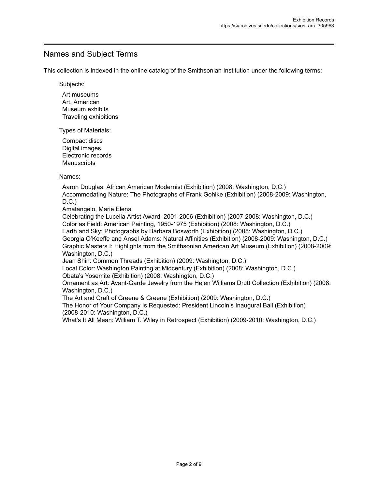### <span id="page-3-0"></span>Names and Subject Terms

This collection is indexed in the online catalog of the Smithsonian Institution under the following terms:

Subjects:

Art museums Art, American Museum exhibits Traveling exhibitions

Types of Materials:

Compact discs Digital images Electronic records **Manuscripts** 

Names:

Aaron Douglas: African American Modernist (Exhibition) (2008: Washington, D.C.) Accommodating Nature: The Photographs of Frank Gohlke (Exhibition) (2008-2009: Washington,  $D.C.$ )

Amatangelo, Marie Elena

Celebrating the Lucelia Artist Award, 2001-2006 (Exhibition) (2007-2008: Washington, D.C.) Color as Field: American Painting, 1950-1975 (Exhibition) (2008: Washington, D.C.) Earth and Sky: Photographs by Barbara Bosworth (Exhibition) (2008: Washington, D.C.) Georgia O'Keeffe and Ansel Adams: Natural Affinities (Exhibition) (2008-2009: Washington, D.C.) Graphic Masters I: Highlights from the Smithsonian American Art Museum (Exhibition) (2008-2009: Washington, D.C.)

Jean Shin: Common Threads (Exhibition) (2009: Washington, D.C.)

Local Color: Washington Painting at Midcentury (Exhibition) (2008: Washington, D.C.) Obata's Yosemite (Exhibition) (2008: Washington, D.C.)

Ornament as Art: Avant-Garde Jewelry from the Helen Williams Drutt Collection (Exhibition) (2008: Washington, D.C.)

The Art and Craft of Greene & Greene (Exhibition) (2009: Washington, D.C.)

The Honor of Your Company Is Requested: President Lincoln's Inaugural Ball (Exhibition) (2008-2010: Washington, D.C.)

What's It All Mean: William T. Wiley in Retrospect (Exhibition) (2009-2010: Washington, D.C.)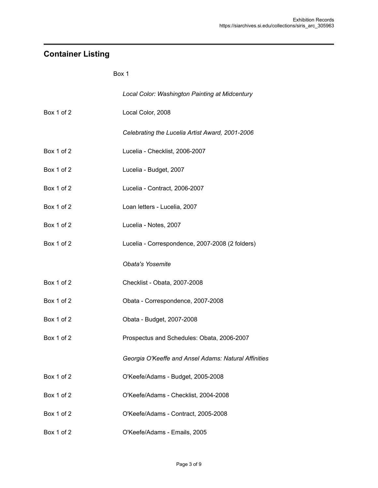## <span id="page-4-0"></span>**Container Listing**

#### Box 1

|            | Local Color: Washington Painting at Midcentury       |
|------------|------------------------------------------------------|
| Box 1 of 2 | Local Color, 2008                                    |
|            | Celebrating the Lucelia Artist Award, 2001-2006      |
| Box 1 of 2 | Lucelia - Checklist, 2006-2007                       |
| Box 1 of 2 | Lucelia - Budget, 2007                               |
| Box 1 of 2 | Lucelia - Contract, 2006-2007                        |
| Box 1 of 2 | Loan letters - Lucelia, 2007                         |
| Box 1 of 2 | Lucelia - Notes, 2007                                |
| Box 1 of 2 | Lucelia - Correspondence, 2007-2008 (2 folders)      |
|            | <b>Obata's Yosemite</b>                              |
| Box 1 of 2 | Checklist - Obata, 2007-2008                         |
| Box 1 of 2 | Obata - Correspondence, 2007-2008                    |
| Box 1 of 2 | Obata - Budget, 2007-2008                            |
| Box 1 of 2 | Prospectus and Schedules: Obata, 2006-2007           |
|            | Georgia O'Keeffe and Ansel Adams: Natural Affinities |
| Box 1 of 2 | O'Keefe/Adams - Budget, 2005-2008                    |
| Box 1 of 2 | O'Keefe/Adams - Checklist, 2004-2008                 |
| Box 1 of 2 | O'Keefe/Adams - Contract, 2005-2008                  |
| Box 1 of 2 | O'Keefe/Adams - Emails, 2005                         |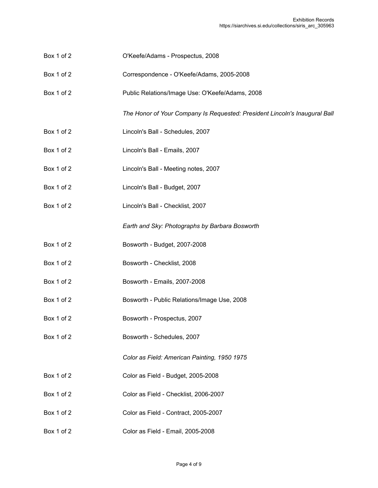- Box 1 of 2 O'Keefe/Adams Prospectus, 2008
- Box 1 of 2 Correspondence O'Keefe/Adams, 2005-2008
- Box 1 of 2 Public Relations/Image Use: O'Keefe/Adams, 2008

*The Honor of Your Company Is Requested: President Lincoln's Inaugural Ball*

- Box 1 of 2 Lincoln's Ball Schedules, 2007
- Box 1 of 2 Lincoln's Ball Emails, 2007
- Box 1 of 2 Lincoln's Ball Meeting notes, 2007
- Box 1 of 2 Lincoln's Ball Budget, 2007
- Box 1 of 2 Lincoln's Ball Checklist, 2007

*Earth and Sky: Photographs by Barbara Bosworth*

- Box 1 of 2 **Bosworth Budget, 2007-2008**
- Box 1 of 2 Bosworth Checklist, 2008
- Box 1 of 2 Bosworth Emails, 2007-2008
- Box 1 of 2 Bosworth Public Relations/Image Use, 2008
- Box 1 of 2 Bosworth Prospectus, 2007
- Box 1 of 2 Bosworth Schedules, 2007

*Color as Field: American Painting, 1950 1975*

- Box 1 of 2 Color as Field Budget, 2005-2008
- Box 1 of 2 Color as Field Checklist, 2006-2007
- Box 1 of 2 Color as Field Contract, 2005-2007
- Box 1 of 2 Color as Field Email, 2005-2008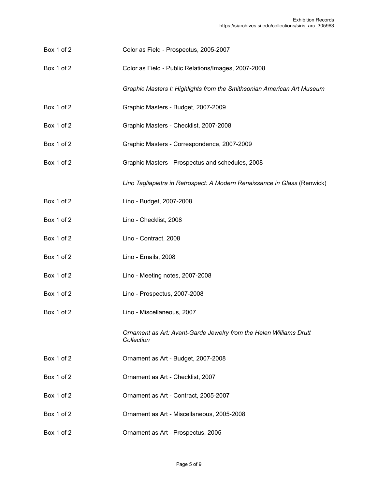- Box 1 of 2 Color as Field Prospectus, 2005-2007
- Box 1 of 2 Color as Field Public Relations/Images, 2007-2008

*Graphic Masters I: Highlights from the Smithsonian American Art Museum*

- Box 1 of 2 Graphic Masters Budget, 2007-2009
- Box 1 of 2 Graphic Masters Checklist, 2007-2008
- Box 1 of 2 Graphic Masters Correspondence, 2007-2009
- Box 1 of 2 Graphic Masters Prospectus and schedules, 2008

*Lino Tagliapietra in Retrospect: A Modern Renaissance in Glass* (Renwick)

- Box 1 of 2 Lino Budget, 2007-2008
- Box 1 of 2 Lino Checklist, 2008
- Box 1 of 2 Lino Contract, 2008
- Box 1 of 2 Lino Emails, 2008
- Box 1 of 2 Lino Meeting notes, 2007-2008
- Box 1 of 2 Lino Prospectus, 2007-2008
- Box 1 of 2 Lino Miscellaneous, 2007

*Ornament as Art: Avant-Garde Jewelry from the Helen Williams Drutt Collection*

- Box 1 of 2 Ornament as Art Budget, 2007-2008
- Box 1 of 2 Ornament as Art Checklist, 2007
- Box 1 of 2 Ornament as Art Contract, 2005-2007
- Box 1 of 2 Ornament as Art Miscellaneous, 2005-2008
- Box 1 of 2 Ornament as Art Prospectus, 2005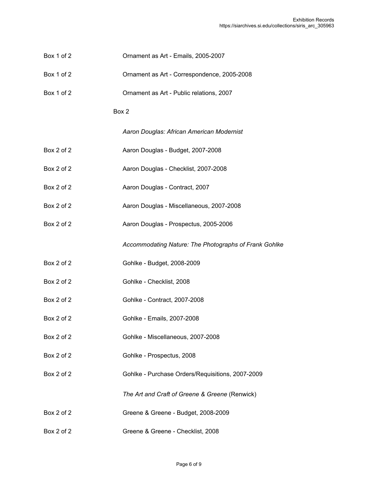- Box 1 of 2 Ornament as Art Emails, 2005-2007
- Box 1 of 2 Ornament as Art Correspondence, 2005-2008
- Box 1 of 2 Ornament as Art Public relations, 2007

#### Box 2

*Aaron Douglas: African American Modernist*

- Box 2 of 2 Aaron Douglas Budget, 2007-2008
- Box 2 of 2 **Aaron Douglas Checklist, 2007-2008**
- Box 2 of 2 **Aaron Douglas Contract, 2007**
- Box 2 of 2 **Aaron Douglas Miscellaneous, 2007-2008**
- Box 2 of 2 **Aaron Douglas Prospectus, 2005-2006**

*Accommodating Nature: The Photographs of Frank Gohlke*

- Box 2 of 2 Gohlke Budget, 2008-2009
- Box 2 of 2 Gohlke Checklist, 2008
- Box 2 of 2 Gohlke Contract, 2007-2008
- Box 2 of 2 Gohlke Emails, 2007-2008
- Box 2 of 2 Gohlke Miscellaneous, 2007-2008
- Box 2 of 2 Gohlke Prospectus, 2008
- Box 2 of 2 Gohlke Purchase Orders/Requisitions, 2007-2009

*The Art and Craft of Greene & Greene* (Renwick)

- Box 2 of 2 Greene & Greene Budget, 2008-2009
- Box 2 of 2 Greene & Greene Checklist, 2008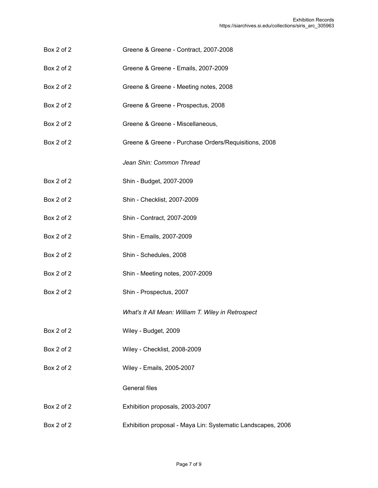- Box 2 of 2 Greene & Greene Contract, 2007-2008
- Box 2 of 2 Greene & Greene Emails, 2007-2009
- Box 2 of 2 Greene & Greene Meeting notes, 2008
- Box 2 of 2 Greene & Greene Prospectus, 2008
- Box 2 of 2 Greene & Greene Miscellaneous,
- Box 2 of 2 Greene & Greene Purchase Orders/Requisitions, 2008

*Jean Shin: Common Thread*

- Box 2 of 2 Shin Budget, 2007-2009
- Box 2 of 2 Shin Checklist, 2007-2009
- Box 2 of 2 Shin Contract, 2007-2009
- Box 2 of 2 Shin Emails, 2007-2009
- Box 2 of 2 Shin Schedules, 2008
- Box 2 of 2 Shin Meeting notes, 2007-2009
- Box 2 of 2 Shin Prospectus, 2007

*What's It All Mean: William T. Wiley in Retrospect*

- Box 2 of 2 Wiley Budget, 2009
- Box 2 of 2 Wiley Checklist, 2008-2009
- Box 2 of 2 Wiley Emails, 2005-2007

#### General files

- Box 2 of 2 Exhibition proposals, 2003-2007
- Box 2 of 2 Exhibition proposal Maya Lin: Systematic Landscapes, 2006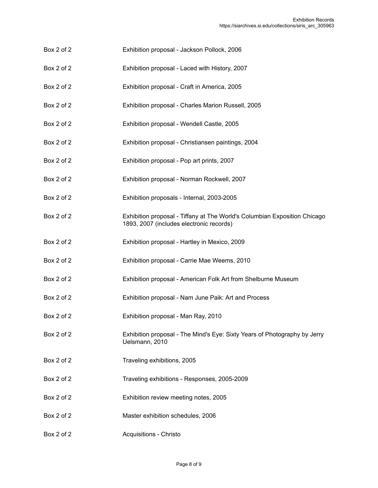- Box 2 of 2 Exhibition proposal Jackson Pollock, 2006
- Box 2 of 2 Exhibition proposal Laced with History, 2007
- Box 2 of 2 Exhibition proposal Craft in America, 2005
- Box 2 of 2 Exhibition proposal Charles Marion Russell, 2005
- Box 2 of 2 Exhibition proposal Wendell Castle, 2005
- Box 2 of 2 Exhibition proposal Christiansen paintings, 2004
- Box 2 of 2 Exhibition proposal Pop art prints, 2007
- Box 2 of 2 Exhibition proposal Norman Rockwell, 2007
- Box 2 of 2 Exhibition proposals Internal, 2003-2005
- Box 2 of 2 Exhibition proposal Tiffany at The World's Columbian Exposition Chicago 1893, 2007 (includes electronic records)
- Box 2 of 2 Exhibition proposal Hartley in Mexico, 2009
- Box 2 of 2 **Exhibition proposal Carrie Mae Weems**, 2010
- Box 2 of 2 Exhibition proposal American Folk Art from Shelburne Museum
- Box 2 of 2 Exhibition proposal Nam June Paik: Art and Process
- Box 2 of 2 Exhibition proposal Man Ray, 2010
- Box 2 of 2 Exhibition proposal The Mind's Eye: Sixty Years of Photography by Jerry Uelsmann, 2010
- Box 2 of 2 Traveling exhibitions, 2005
- Box 2 of 2 Traveling exhibitions Responses, 2005-2009
- Box 2 of 2 Exhibition review meeting notes, 2005
- Box 2 of 2 Master exhibition schedules, 2006
- Box 2 of 2 **Acquisitions** Christo